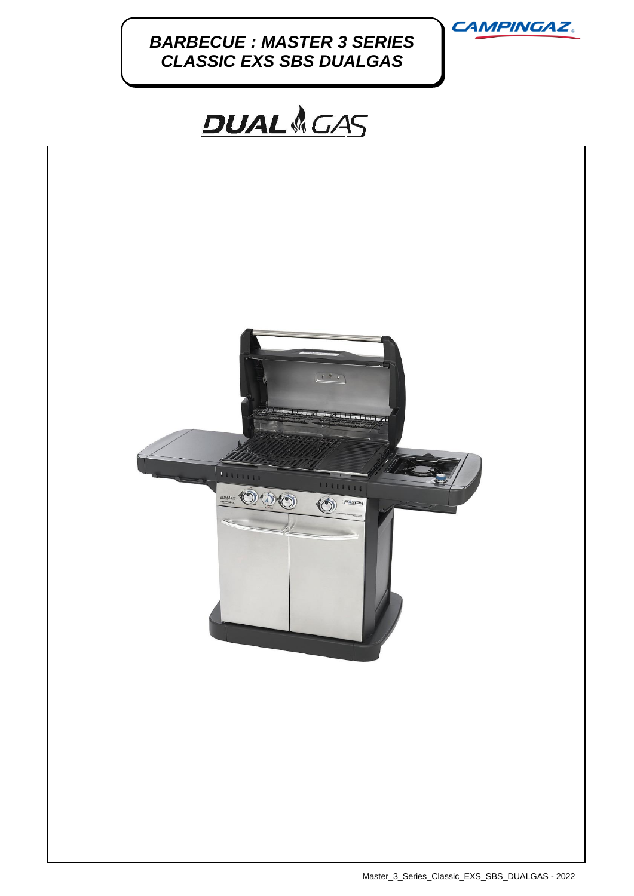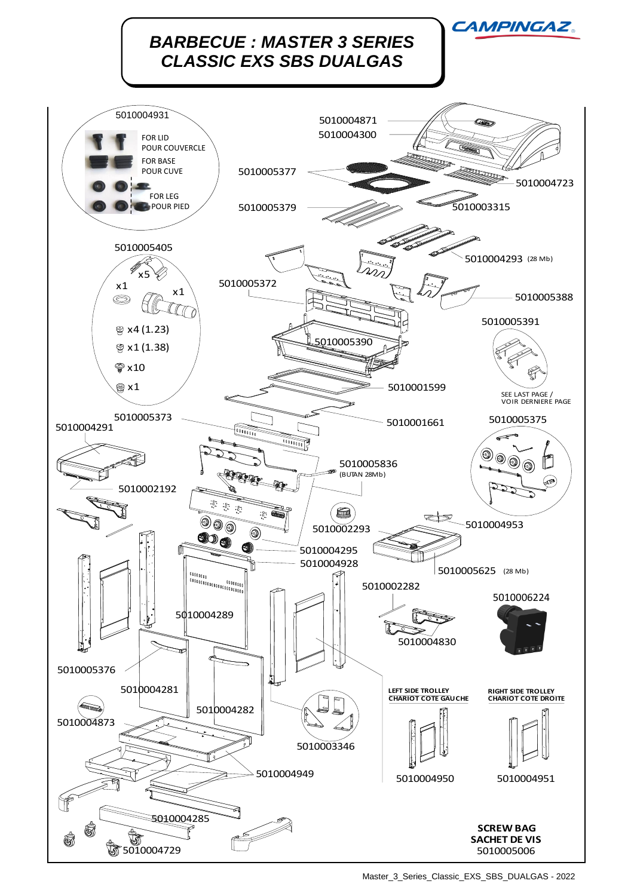

Master\_3\_Series\_Classic\_EXS\_SBS\_DUALGAS - 2022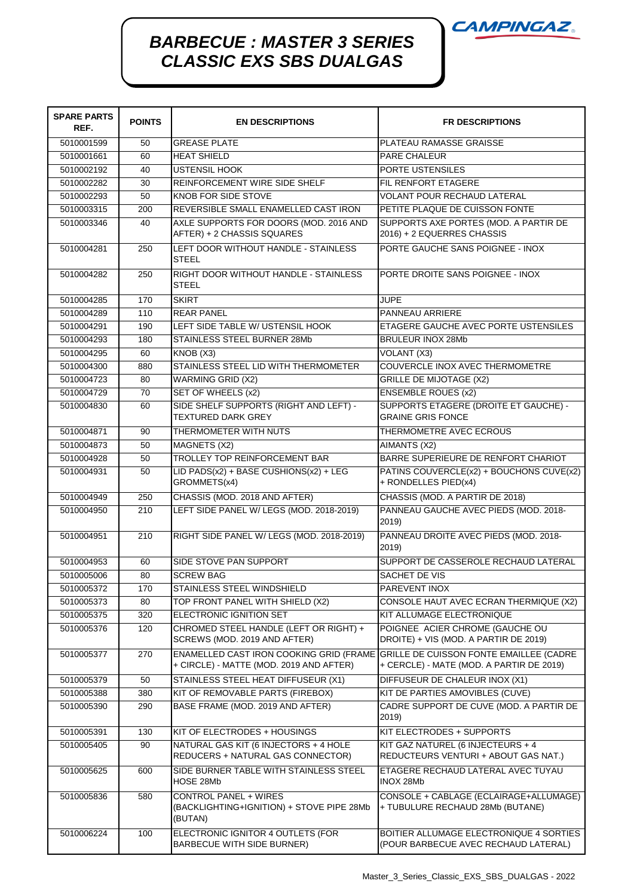![](_page_2_Picture_0.jpeg)

## *BARBECUE : MASTER 3 SERIES CLASSIC EXS SBS DUALGAS*

| <b>SPARE PARTS</b><br>REF. | <b>POINTS</b> | <b>EN DESCRIPTIONS</b>                                                                                                     | <b>FR DESCRIPTIONS</b>                                                          |
|----------------------------|---------------|----------------------------------------------------------------------------------------------------------------------------|---------------------------------------------------------------------------------|
| 5010001599                 | 50            | <b>GREASE PLATE</b>                                                                                                        | PLATEAU RAMASSE GRAISSE                                                         |
| 5010001661                 | 60            | <b>HEAT SHIELD</b>                                                                                                         | <b>PARE CHALEUR</b>                                                             |
| 5010002192                 | 40            | <b>USTENSIL HOOK</b>                                                                                                       | PORTE USTENSILES                                                                |
| 5010002282                 | 30            | REINFORCEMENT WIRE SIDE SHELF                                                                                              | <b>FIL RENFORT ETAGERE</b>                                                      |
| 5010002293                 | 50            | KNOB FOR SIDE STOVE                                                                                                        | <b>VOLANT POUR RECHAUD LATERAL</b>                                              |
| 5010003315                 | 200           | REVERSIBLE SMALL ENAMELLED CAST IRON                                                                                       | PETITE PLAQUE DE CUISSON FONTE                                                  |
| 5010003346                 | 40            | AXLE SUPPORTS FOR DOORS (MOD. 2016 AND<br>AFTER) + 2 CHASSIS SQUARES                                                       | SUPPORTS AXE PORTES (MOD. A PARTIR DE<br>2016) + 2 EQUERRES CHASSIS             |
| 5010004281                 | 250           | LEFT DOOR WITHOUT HANDLE - STAINLESS<br><b>STEEL</b>                                                                       | PORTE GAUCHE SANS POIGNEE - INOX                                                |
| 5010004282                 | 250           | RIGHT DOOR WITHOUT HANDLE - STAINLESS<br><b>STEEL</b>                                                                      | PORTE DROITE SANS POIGNEE - INOX                                                |
| 5010004285                 | 170           | <b>SKIRT</b>                                                                                                               | <b>JUPE</b>                                                                     |
| 5010004289                 | 110           | <b>REAR PANEL</b>                                                                                                          | PANNEAU ARRIERE                                                                 |
| 5010004291                 | 190           | LEFT SIDE TABLE W/ USTENSIL HOOK                                                                                           | ETAGERE GAUCHE AVEC PORTE USTENSILES                                            |
| 5010004293                 | 180           | STAINLESS STEEL BURNER 28Mb                                                                                                | <b>BRULEUR INOX 28Mb</b>                                                        |
| 5010004295                 | 60            | KNOB (X3)                                                                                                                  | VOLANT (X3)                                                                     |
| 5010004300                 | 880           | STAINLESS STEEL LID WITH THERMOMETER                                                                                       | COUVERCLE INOX AVEC THERMOMETRE                                                 |
| 5010004723                 | 80            | <b>WARMING GRID (X2)</b>                                                                                                   | <b>GRILLE DE MIJOTAGE (X2)</b>                                                  |
| 5010004729                 | 70            | SET OF WHEELS (x2)                                                                                                         | <b>ENSEMBLE ROUES (x2)</b>                                                      |
| 5010004830                 | 60            | SIDE SHELF SUPPORTS (RIGHT AND LEFT) -<br><b>TEXTURED DARK GREY</b>                                                        | SUPPORTS ETAGERE (DROITE ET GAUCHE) -<br><b>GRAINE GRIS FONCE</b>               |
| 5010004871                 | 90            | THERMOMETER WITH NUTS                                                                                                      | THERMOMETRE AVEC ECROUS                                                         |
| 5010004873                 | 50            | MAGNETS (X2)                                                                                                               | AIMANTS (X2)                                                                    |
| 5010004928                 | 50            | <b>TROLLEY TOP REINFORCEMENT BAR</b>                                                                                       | BARRE SUPERIEURE DE RENFORT CHARIOT                                             |
| 5010004931                 | 50            | LID PADS(x2) + BASE CUSHIONS(x2) + LEG<br>GROMMETS(x4)                                                                     | PATINS COUVERCLE(x2) + BOUCHONS CUVE(x2)<br>+ RONDELLES PIED(x4)                |
| 5010004949                 | 250           | CHASSIS (MOD. 2018 AND AFTER)                                                                                              | CHASSIS (MOD. A PARTIR DE 2018)                                                 |
| 5010004950                 | 210           | LEFT SIDE PANEL W/ LEGS (MOD. 2018-2019)                                                                                   | PANNEAU GAUCHE AVEC PIEDS (MOD. 2018-<br>2019)                                  |
| 5010004951                 | 210           | RIGHT SIDE PANEL W/ LEGS (MOD. 2018-2019)                                                                                  | PANNEAU DROITE AVEC PIEDS (MOD. 2018-<br>2019)                                  |
| 5010004953                 | 60            | SIDE STOVE PAN SUPPORT                                                                                                     | SUPPORT DE CASSEROLE RECHAUD LATERAL                                            |
| 5010005006                 | 80            | <b>SCREW BAG</b>                                                                                                           | SACHET DE VIS                                                                   |
| 5010005372                 | 170           | STAINLESS STEEL WINDSHIELD                                                                                                 | PAREVENT INOX                                                                   |
| 5010005373                 | 80            | TOP FRONT PANEL WITH SHIELD (X2)                                                                                           | CONSOLE HAUT AVEC ECRAN THERMIQUE (X2)                                          |
| 5010005375                 | 320           | ELECTRONIC IGNITION SET                                                                                                    | KIT ALLUMAGE ELECTRONIQUE                                                       |
| 5010005376                 | 120           | CHROMED STEEL HANDLE (LEFT OR RIGHT) +<br>SCREWS (MOD. 2019 AND AFTER)                                                     | POIGNEE ACIER CHROME (GAUCHE OU<br>DROITE) + VIS (MOD. A PARTIR DE 2019)        |
| 5010005377                 | 270           | ENAMELLED CAST IRON COOKING GRID (FRAME GRILLE DE CUISSON FONTE EMAILLEE (CADRE<br>+ CIRCLE) - MATTE (MOD. 2019 AND AFTER) | + CERCLE) - MATE (MOD. A PARTIR DE 2019)                                        |
| 5010005379                 | 50            | STAINLESS STEEL HEAT DIFFUSEUR (X1)                                                                                        | DIFFUSEUR DE CHALEUR INOX (X1)                                                  |
| 5010005388                 | 380           | KIT OF REMOVABLE PARTS (FIREBOX)                                                                                           | KIT DE PARTIES AMOVIBLES (CUVE)                                                 |
| 5010005390                 | 290           | BASE FRAME (MOD. 2019 AND AFTER)                                                                                           | CADRE SUPPORT DE CUVE (MOD. A PARTIR DE                                         |
| 5010005391                 | 130           | KIT OF ELECTRODES + HOUSINGS                                                                                               | 2019)<br>KIT ELECTRODES + SUPPORTS                                              |
| 5010005405                 | 90            | NATURAL GAS KIT (6 INJECTORS + 4 HOLE                                                                                      | KIT GAZ NATUREL (6 INJECTEURS + 4                                               |
|                            |               | REDUCERS + NATURAL GAS CONNECTOR)                                                                                          | REDUCTEURS VENTURI + ABOUT GAS NAT.)                                            |
| 5010005625                 | 600           | SIDE BURNER TABLE WITH STAINLESS STEEL<br>HOSE 28Mb                                                                        | ETAGERE RECHAUD LATERAL AVEC TUYAU<br>INOX 28Mb                                 |
| 5010005836                 | 580           | CONTROL PANEL + WIRES<br>(BACKLIGHTING+IGNITION) + STOVE PIPE 28Mb<br>(BUTAN)                                              | CONSOLE + CABLAGE (ECLAIRAGE+ALLUMAGE)<br>+ TUBULURE RECHAUD 28Mb (BUTANE)      |
| 5010006224                 | 100           | ELECTRONIC IGNITOR 4 OUTLETS (FOR<br>BARBECUE WITH SIDE BURNER)                                                            | BOITIER ALLUMAGE ELECTRONIQUE 4 SORTIES<br>(POUR BARBECUE AVEC RECHAUD LATERAL) |